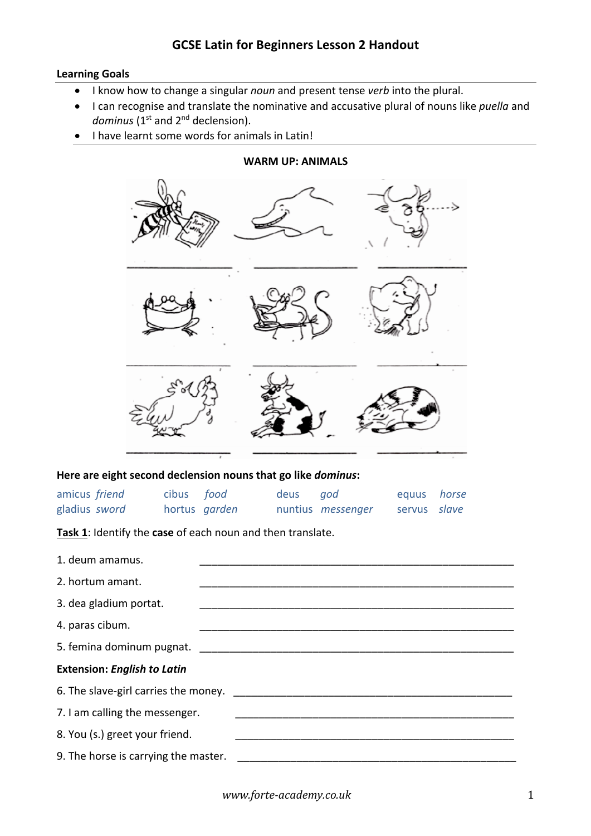## **Learning Goals**

- I know how to change a singular *noun* and present tense *verb* into the plural.
- I can recognise and translate the nominative and accusative plural of nouns like *puella* and dominus (1<sup>st</sup> and 2<sup>nd</sup> declension).

**WARM UP: ANIMALS**

• I have learnt some words for animals in Latin!

## **Here are eight second declension nouns that go like** *dominus***:**

| amicus friend | cibus food    | deus god |                          | equus horse  |  |
|---------------|---------------|----------|--------------------------|--------------|--|
| gladius sword | hortus garden |          | nuntius <i>messenger</i> | servus slave |  |

**Task 1**: Identify the **case** of each noun and then translate.

| 1. deum amamus.                      |                                                                  |
|--------------------------------------|------------------------------------------------------------------|
| 2. hortum amant.                     |                                                                  |
| 3. dea gladium portat.               |                                                                  |
| 4. paras cibum.                      | <u> 1980 - Jan James James Barnett, fransk politik (d. 1980)</u> |
|                                      |                                                                  |
| <b>Extension: English to Latin</b>   |                                                                  |
| 6. The slave-girl carries the money. |                                                                  |
| 7. I am calling the messenger.       |                                                                  |
| 8. You (s.) greet your friend.       |                                                                  |
| 9. The horse is carrying the master. |                                                                  |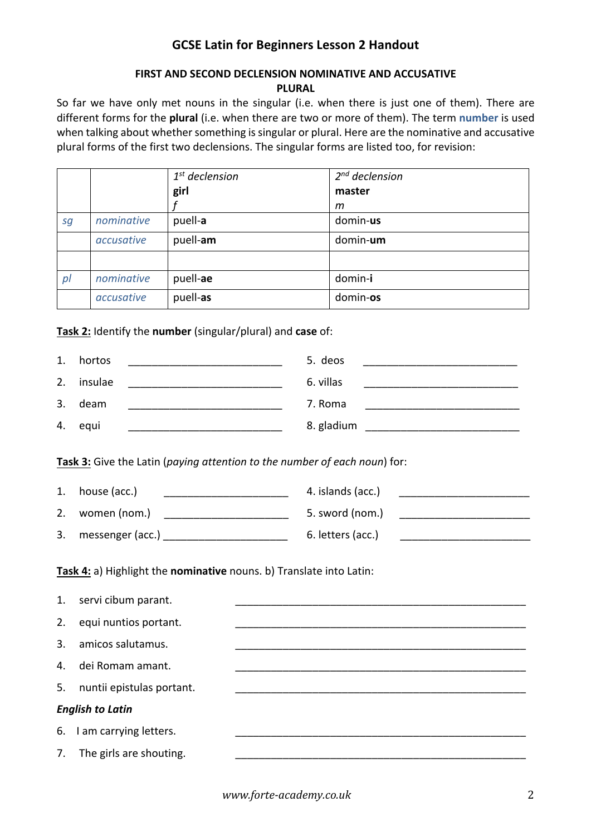# **GCSE Latin for Beginners Lesson 2 Handout**

## **FIRST AND SECOND DECLENSION NOMINATIVE AND ACCUSATIVE PLURAL**

So far we have only met nouns in the singular (i.e. when there is just one of them). There are different forms for the **plural** (i.e. when there are two or more of them). The term **number** is used when talking about whether something is singular or plural. Here are the nominative and accusative plural forms of the first two declensions. The singular forms are listed too, for revision:

|    |            | $1st$ declension | $2^{nd}$ declension |
|----|------------|------------------|---------------------|
|    |            | girl             | master              |
|    |            |                  | m                   |
| sg | nominative | puell-a          | domin-us            |
|    | accusative | puell-am         | domin-um            |
|    |            |                  |                     |
| p  | nominative | puell-ae         | domin-i             |
|    | accusative | puell-as         | domin-os            |

**Task 2:** Identify the **number** (singular/plural) and **case** of:

| 1. | hortos  | 5. deos    |
|----|---------|------------|
| 2. | insulae | 6. villas  |
| 3. | deam    | 7. Roma    |
| 4. | equi    | 8. gladium |

**Task 3:** Give the Latin (*paying attention to the number of each noun*) for:

| 1. | house (acc.)     | 4. islands (acc.) |
|----|------------------|-------------------|
| 2. | women (nom.)     | 5. sword (nom.)   |
| 3. | messenger (acc.) | 6. letters (acc.) |

**Task 4:** a) Highlight the **nominative** nouns. b) Translate into Latin:

| 1. | servi cibum parant.       |  |
|----|---------------------------|--|
| 2. | equi nuntios portant.     |  |
| 3. | amicos salutamus.         |  |
| 4. | dei Romam amant.          |  |
| 5. | nuntii epistulas portant. |  |
|    | <b>English to Latin</b>   |  |
| 6. | I am carrying letters.    |  |
| 7. | The girls are shouting.   |  |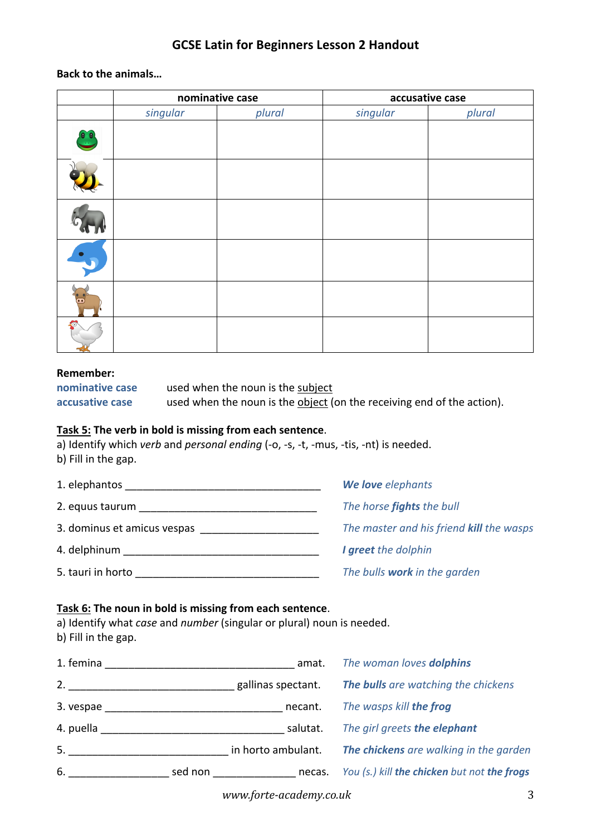# **GCSE Latin for Beginners Lesson 2 Handout**

## **Back to the animals…**

| nominative case |        | accusative case |        |
|-----------------|--------|-----------------|--------|
| singular        | plural | singular        | plural |
|                 |        |                 |        |
|                 |        |                 |        |
|                 |        |                 |        |
|                 |        |                 |        |
|                 |        |                 |        |
|                 |        |                 |        |

#### **Remember:**

| nominative case |  |
|-----------------|--|
| accusative case |  |

used when the noun is the subject

used when the noun is the **object** (on the receiving end of the action).

### **Task 5: The verb in bold is missing from each sentence**.

a) Identify which *verb* and *personal ending* (-o, -s, -t, -mus, -tis, -nt) is needed. b) Fill in the gap.

| 1. elephantos               | We love elephants                        |
|-----------------------------|------------------------------------------|
| 2. equus taurum             | The horse fights the bull                |
| 3. dominus et amicus vespas | The master and his friend kill the wasps |
| 4. delphinum                | I greet the dolphin                      |
| 5. tauri in horto           | The bulls work in the garden             |

## **Task 6: The noun in bold is missing from each sentence**.

a) Identify what *case* and *number* (singular or plural) noun is needed. b) Fill in the gap.

| 1. femina |         | amat.              | The woman loves dolphins                    |
|-----------|---------|--------------------|---------------------------------------------|
| 2.        |         | gallinas spectant. | The bulls are watching the chickens         |
| 3. vespae |         | necant.            | The wasps kill the frog                     |
| 4. puella |         | salutat.           | The girl greets the elephant                |
| 5.        |         | in horto ambulant. | The chickens are walking in the garden      |
| 6.        | sed non | necas.             | You (s.) kill the chicken but not the frogs |